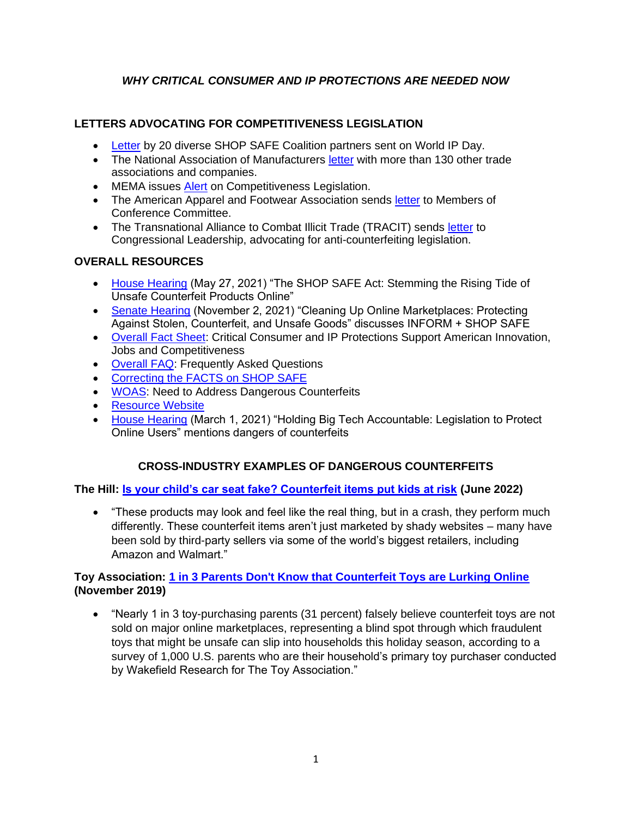# *WHY CRITICAL CONSUMER AND IP PROTECTIONS ARE NEEDED NOW*

### **LETTERS ADVOCATING FOR COMPETITIVENESS LEGISLATION**

- [Letter](https://www.aafaglobal.org/AAFA/AAFA_News/2022_Letters_and_Comments/AAFA%20Calls%20on%20Congress%20to%20Include%20SHOP%20SAFE%20and%20INFORM%20in%20Competitiveness%20Legislation.aspx) by 20 diverse SHOP SAFE Coalition partners sent on World IP Day.
- The National Association of Manufacturers [letter](https://documents.nam.org/IEA/China%20Competition%20Counterfeit%20Support%20Letter.pdf) with more than 130 other trade associations and companies.
- MEMA issues [Alert](https://www.aftermarketnews.com/mema-issues-alert-on-competitiveness-legislation/) on Competitiveness Legislation.
- The American Apparel and Footwear Association sends [letter](https://www.aafaglobal.org/AAFA/AAFA_News/2022_Letters_and_Comments/AAFA_Sends_Letter_to_Members_of_Conference_Committee.aspx) to Members of Conference Committee.
- The Transnational Alliance to Combat Illicit Trade (TRACIT) sends [letter](https://www.tracit.org/uploads/1/0/2/2/102238034/may_25_tracit_letter_to_conferees_re_shop_safe_and_inform.pdf) to Congressional Leadership, advocating for anti-counterfeiting legislation.

### **OVERALL RESOURCES**

- [House Hearing](https://judiciary.house.gov/calendar/eventsingle.aspx?EventID=4567) (May 27, 2021) "The SHOP SAFE Act: Stemming the Rising Tide of Unsafe Counterfeit Products Online"
- [Senate Hearing](https://nam10.safelinks.protection.outlook.com/?url=https%3A%2F%2Fwww.judiciary.senate.gov%2Fmeetings%2Fcleaning-up-online-marketplaces-protecting-against-stolen-counterfeit-and-unsafe-goods&data=04%7C01%7Cjscogginshanks%40aafaglobal.org%7Cf86e3850f7ba4b3253ee08d9eca8dbcc%7C1368786b82c04477acf49ad602f0a2b2%7C0%7C0%7C637801032284912788%7CUnknown%7CTWFpbGZsb3d8eyJWIjoiMC4wLjAwMDAiLCJQIjoiV2luMzIiLCJBTiI6Ik1haWwiLCJXVCI6Mn0%3D%7C3000&sdata=ZTked6rFfxOJTbWnOPKJjQI8oXXa09xa14H%2FxPB1cDw%3D&reserved=0) (November 2, 2021) "Cleaning Up Online Marketplaces: Protecting Against Stolen, Counterfeit, and Unsafe Goods" discusses INFORM + SHOP SAFE
- [Overall Fact Sheet:](https://wewearorg.sharepoint.com/:b:/g/ps/ESHKQDMe_EVAsKBZV--qKm8BX4IYV1x2NuDvDwM19hOgQw) Critical Consumer and IP Protections Support American Innovation, Jobs and Competitiveness
- [Overall FAQ:](https://wewearorg.sharepoint.com/:b:/g/ps/ERa2MTNd3YtBnUOCyktIeboBxiWYAQVXh17nJcb6FWbPZA) Frequently Asked Questions
- [Correcting the FACTS on SHOP SAFE](https://wewearorg.sharepoint.com/:b:/g/ps/EaEPbU19MltElo3KBI3ykb0BUK03L9I-dqo2UaMPc8G_nw)
- [WOAS:](file://///SharePoint/Government%20Relations/GR%20Folder/Brand%20Protection%202022/Shop%20Safe%20and%20Inform%20Materials/Congressional%20Meetings/•%09https:/wewearorg.sharepoint.com/:b:/g/ps/ESCVE4tkLBNBudg6whEeGzMBNAy8SAko0RB3BjI-7mi36g) Need to Address Dangerous Counterfeits
- [Resource Website](https://www.tracit.org/support-shop-safe-act.html)
- [House Hearing](https://energycommerce.house.gov/committee-activity/hearings/hearing-on-holding-big-tech-accountable-legislation-to-protect-online) (March 1, 2021) "Holding Big Tech Accountable: Legislation to Protect Online Users" mentions dangers of counterfeits

### **CROSS-INDUSTRY EXAMPLES OF DANGEROUS COUNTERFEITS**

**The Hill: [Is your child's car seat fake? Counterfeit items put kids at risk](https://thehill.com/news/wire/3508225-is-your-childs-car-seat-fake-counterfeit-items-put-kids-at-risk/) (June 2022)**

• "These products may look and feel like the real thing, but in a crash, they perform much differently. These counterfeit items aren't just marketed by shady websites – many have been sold by third-party sellers via some of the world's biggest retailers, including Amazon and Walmart."

### **Toy Association: [1 in 3 Parents Don't Know that Counterfeit Toys are Lurking Online](https://www.toyassociation.org/PressRoom2/News/2019-news/1-in-3-parents-dont-know-that-counterfeit-toys-are-lurking-online.aspx)  (November 2019)**

• "Nearly 1 in 3 toy-purchasing parents (31 percent) falsely believe counterfeit toys are not sold on major online marketplaces, representing a blind spot through which fraudulent toys that might be unsafe can slip into households this holiday season, according to a survey of 1,000 U.S. parents who are their household's primary toy purchaser conducted by Wakefield Research for The Toy Association."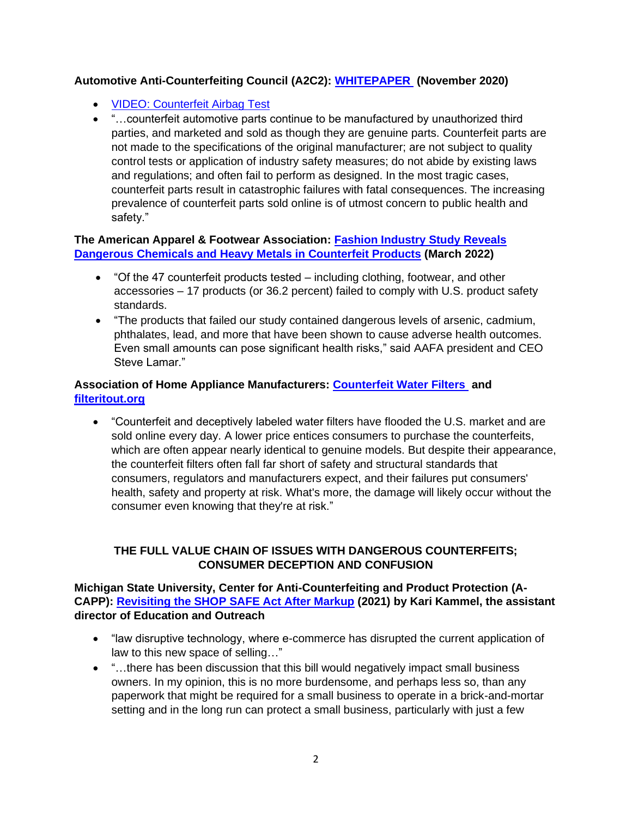### **Automotive Anti-Counterfeiting Council (A2C2): [WHITEPAPER](https://a2c2.com/sites/default/files/A2C2_WHITEPAPER_FINAL%28Nov2020%29.pdf) (November 2020)**

- [VIDEO: Counterfeit Airbag Test](https://a2c2.com/counterfeit-testing-video)
- "…counterfeit automotive parts continue to be manufactured by unauthorized third parties, and marketed and sold as though they are genuine parts. Counterfeit parts are not made to the specifications of the original manufacturer; are not subject to quality control tests or application of industry safety measures; do not abide by existing laws and regulations; and often fail to perform as designed. In the most tragic cases, counterfeit parts result in catastrophic failures with fatal consequences. The increasing prevalence of counterfeit parts sold online is of utmost concern to public health and safety."

#### **The American Apparel & Footwear Association: [Fashion Industry Study Reveals](https://www.aafaglobal.org/AAFA/AAFA_News/2022_Press_Releases/Fashion_Industry_Study_Reveals_Dangerous_Chemicals_Heavy_Metals_Counterfeits.aspx)  [Dangerous Chemicals and Heavy Metals in Counterfeit Products](https://www.aafaglobal.org/AAFA/AAFA_News/2022_Press_Releases/Fashion_Industry_Study_Reveals_Dangerous_Chemicals_Heavy_Metals_Counterfeits.aspx) (March 2022)**

- "Of the 47 counterfeit products tested including clothing, footwear, and other accessories – 17 products (or 36.2 percent) failed to comply with U.S. product safety standards.
- "The products that failed our study contained dangerous levels of arsenic, cadmium, phthalates, lead, and more that have been shown to cause adverse health outcomes. Even small amounts can pose significant health risks," said AAFA president and CEO Steve Lamar."

### **Association of Home Appliance Manufacturers: [Counterfeit Water Filters](https://www.aham.org/AHAM/Safety/Counterfeit-Filters/AHAM/Safety/Counterfeit-Filters.aspx?hkey=b5a54b02-3fed-4dac-8518-0d452b00cf43) and [filteritout.org](https://filteritout.org/)**

• "Counterfeit and deceptively labeled water filters have flooded the U.S. market and are sold online every day. A lower price entices consumers to purchase the counterfeits, which are often appear nearly identical to genuine models. But despite their appearance, the counterfeit filters often fall far short of safety and structural standards that consumers, regulators and manufacturers expect, and their failures put consumers' health, safety and property at risk. What's more, the damage will likely occur without the consumer even knowing that they're at risk."

# **THE FULL VALUE CHAIN OF ISSUES WITH DANGEROUS COUNTERFEITS; CONSUMER DECEPTION AND CONFUSION**

### **Michigan State University, Center for Anti-Counterfeiting and Product Protection (A-CAPP): [Revisiting the SHOP SAFE Act After Markup](https://a-capp.msu.edu/article/revisiting-the-shop-safe-act-after-markup/) (2021) by Kari Kammel, the assistant director of Education and Outreach**

- "law disruptive technology, where e-commerce has disrupted the current application of law to this new space of selling…"
- "…there has been discussion that this bill would negatively impact small business owners. In my opinion, this is no more burdensome, and perhaps less so, than any paperwork that might be required for a small business to operate in a brick-and-mortar setting and in the long run can protect a small business, particularly with just a few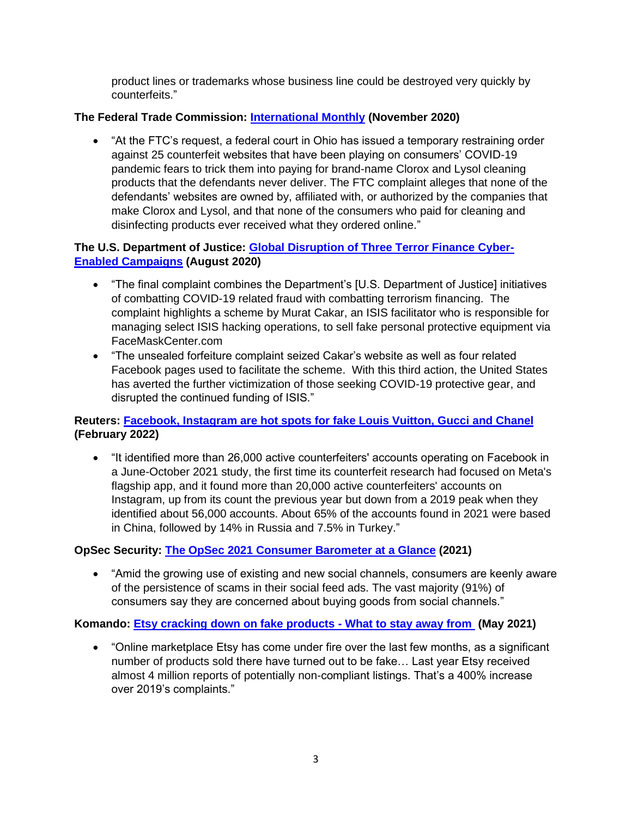product lines or trademarks whose business line could be destroyed very quickly by counterfeits."

# **The Federal Trade Commission: [International Monthly](https://www.ftc.gov/policy/international/ftc-international-monthly/november-2020) (November 2020)**

• "At the FTC's request, a federal court in Ohio has issued a temporary restraining order against 25 counterfeit websites that have been playing on consumers' COVID-19 pandemic fears to trick them into paying for brand-name Clorox and Lysol cleaning products that the defendants never deliver. The FTC complaint alleges that none of the defendants' websites are owned by, affiliated with, or authorized by the companies that make Clorox and Lysol, and that none of the consumers who paid for cleaning and disinfecting products ever received what they ordered online."

# **The U.S. Department of Justice: [Global Disruption of Three Terror Finance Cyber-](https://www.justice.gov/opa/pr/global-disruption-three-terror-finance-cyber-enabled-campaigns)[Enabled Campaigns](https://www.justice.gov/opa/pr/global-disruption-three-terror-finance-cyber-enabled-campaigns) (August 2020)**

- "The final complaint combines the Department's [U.S. Department of Justice] initiatives of combatting COVID-19 related fraud with combatting terrorism financing. The complaint highlights a scheme by Murat Cakar, an ISIS facilitator who is responsible for managing select ISIS hacking operations, to sell fake personal protective equipment via FaceMaskCenter.com
- "The unsealed forfeiture complaint seized Cakar's website as well as four related Facebook pages used to facilitate the scheme. With this third action, the United States has averted the further victimization of those seeking COVID-19 protective gear, and disrupted the continued funding of ISIS."

# **Reuters: [Facebook, Instagram are hot spots for fake Louis Vuitton, Gucci and Chanel](https://www.reuters.com/technology/facebook-instagram-are-hot-spots-fake-louis-vuitton-gucci-chanel-2022-02-09/)  (February 2022)**

• "It identified more than 26,000 active counterfeiters' accounts operating on Facebook in a June-October 2021 study, the first time its counterfeit research had focused on Meta's flagship app, and it found more than 20,000 active counterfeiters' accounts on Instagram, up from its count the previous year but down from a 2019 peak when they identified about 56,000 accounts. About 65% of the accounts found in 2021 were based in China, followed by 14% in Russia and 7.5% in Turkey."

# **OpSec Security: [The OpSec 2021 Consumer Barometer at a Glance](https://nam10.safelinks.protection.outlook.com/?url=https%3A%2F%2Fwww.opsecsecurity.com%2Fresources%2Fthe-opsec-2021-consumer-barometer-at-a-glance%2F&data=04%7C01%7Calevine%40aafaglobal.org%7C5f6b1dacbeea4710a19c08da1318c618%7C1368786b82c04477acf49ad602f0a2b2%7C0%7C0%7C637843294382694520%7CUnknown%7CTWFpbGZsb3d8eyJWIjoiMC4wLjAwMDAiLCJQIjoiV2luMzIiLCJBTiI6Ik1haWwiLCJXVCI6Mn0%3D%7C3000&sdata=eZja1rfnBdq4RPMnwd4ypit8f5%2Bsu1PQwwRpd7SI0VA%3D&reserved=0) (2021)**

• "Amid the growing use of existing and new social channels, consumers are keenly aware of the persistence of scams in their social feed ads. The vast majority (91%) of consumers say they are concerned about buying goods from social channels."

### **Komando: [Etsy cracking down on fake products -](https://www.komando.com/shopping/etsy-fake-products/788551/) What to stay away from (May 2021)**

• "Online marketplace Etsy has come under fire over the last few months, as a significant number of products sold there have turned out to be fake… Last year Etsy received almost 4 million reports of potentially non-compliant listings. That's a 400% increase over 2019's complaints."